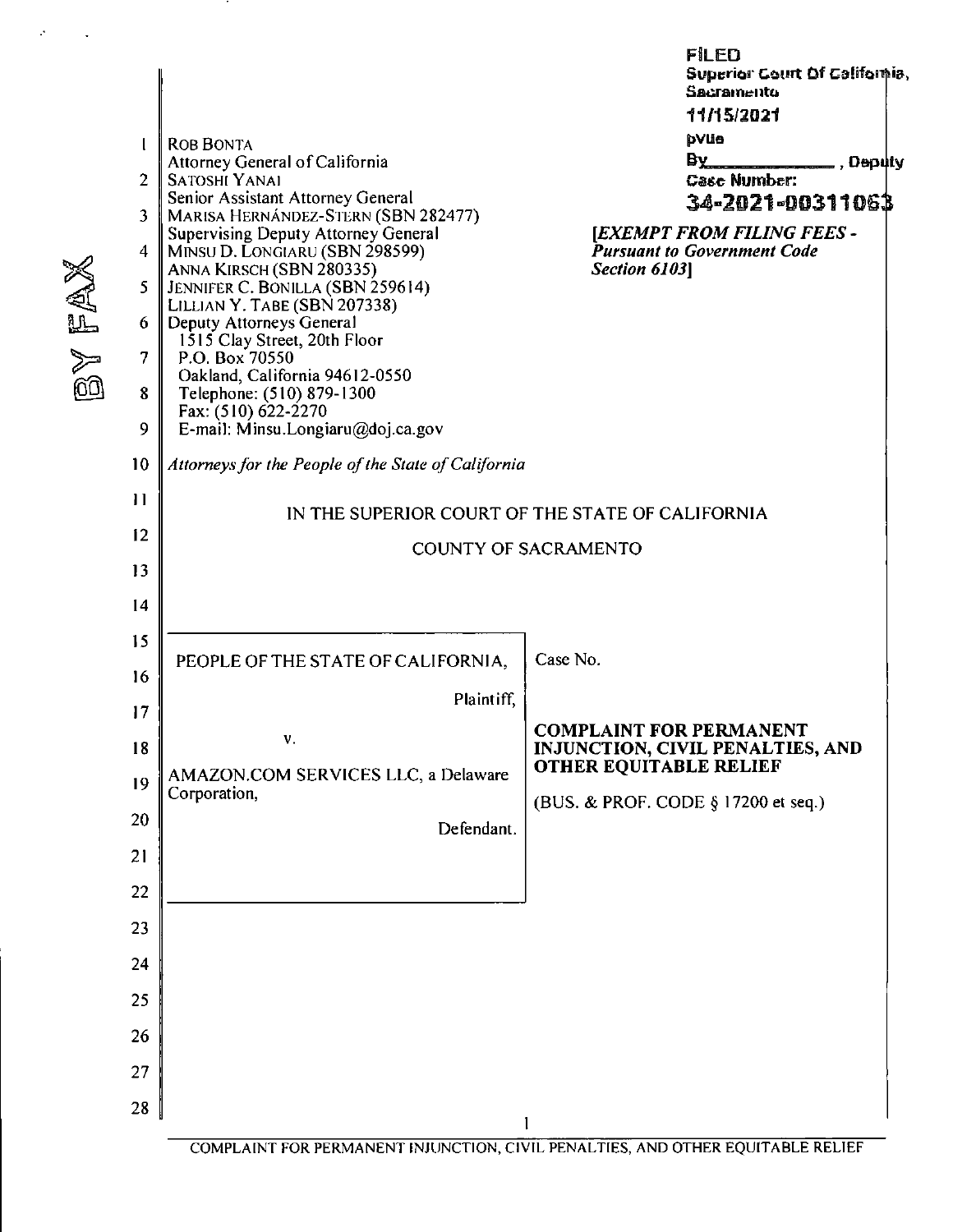| Q<br>V<br>∑<br>©⊡ | $\mathbf{I}$<br>$\overline{2}$<br>$\overline{\mathbf{3}}$<br>$\overline{\mathbf{4}}$<br>5<br>6<br>7<br>8<br>9<br>10 | <b>ROB BONTA</b><br>Attorney General of California<br><b>SATOSHI YANAI</b><br>Senior Assistant Attorney General<br>MARISA HERNÁNDEZ-STERN (SBN 282477)<br>Supervising Deputy Attorney General<br>MINSU D. LONGIARU (SBN 298599)<br>ANNA KIRSCH (SBN 280335)<br>JENNIFER C. BONILLA (SBN 259614)<br>LILLIAN Y. TABE (SBN 207338)<br>Deputy Attorneys General<br>1515 Clay Street, 20th Floor<br>P.O. Box 70550<br>Oakland, California 94612-0550<br>Telephone: (510) 879-1300<br>Fax: (510) 622-2270<br>E-mail: Minsu.Longiaru@doj.ca.gov | <b>FILED</b><br><b>Superior Court Of California,</b><br>Sacramento<br>11/15/2021<br>pvue<br>By Pepuly<br>Case Number:<br>34-2021-00311063<br><b>[EXEMPT FROM FILING FEES -</b><br><b>Pursuant to Government Code</b><br>Section 6103] |  |
|-------------------|---------------------------------------------------------------------------------------------------------------------|------------------------------------------------------------------------------------------------------------------------------------------------------------------------------------------------------------------------------------------------------------------------------------------------------------------------------------------------------------------------------------------------------------------------------------------------------------------------------------------------------------------------------------------|---------------------------------------------------------------------------------------------------------------------------------------------------------------------------------------------------------------------------------------|--|
|                   | $\overline{11}$<br>12<br>13<br>14                                                                                   | Attorneys for the People of the State of California<br>IN THE SUPERIOR COURT OF THE STATE OF CALIFORNIA<br><b>COUNTY OF SACRAMENTO</b>                                                                                                                                                                                                                                                                                                                                                                                                   |                                                                                                                                                                                                                                       |  |
|                   | 15<br>16<br>17<br>18<br>19<br>20<br>21<br>22<br>23<br>24<br>25<br>26<br>27<br>28                                    | PEOPLE OF THE STATE OF CALIFORNIA,<br>Plaintiff,<br>ν.<br>AMAZON.COM SERVICES LLC, a Delaware<br>Corporation,<br>Defendant.                                                                                                                                                                                                                                                                                                                                                                                                              | Case No.<br><b>COMPLAINT FOR PERMANENT</b><br>INJUNCTION, CIVIL PENALTIES, AND<br><b>OTHER EQUITABLE RELIEF</b><br>(BUS. & PROF. CODE § 17200 et seq.)                                                                                |  |

*>* 

 $\mathcal{S}$ 

 $\tilde{\mathbf{v}}$ 

<u>т</u>

COMPLAINT FOR PERMANENT INJUNCTION, CIVIL PENALTIES, AND OTHER EQUITABLE RELIEF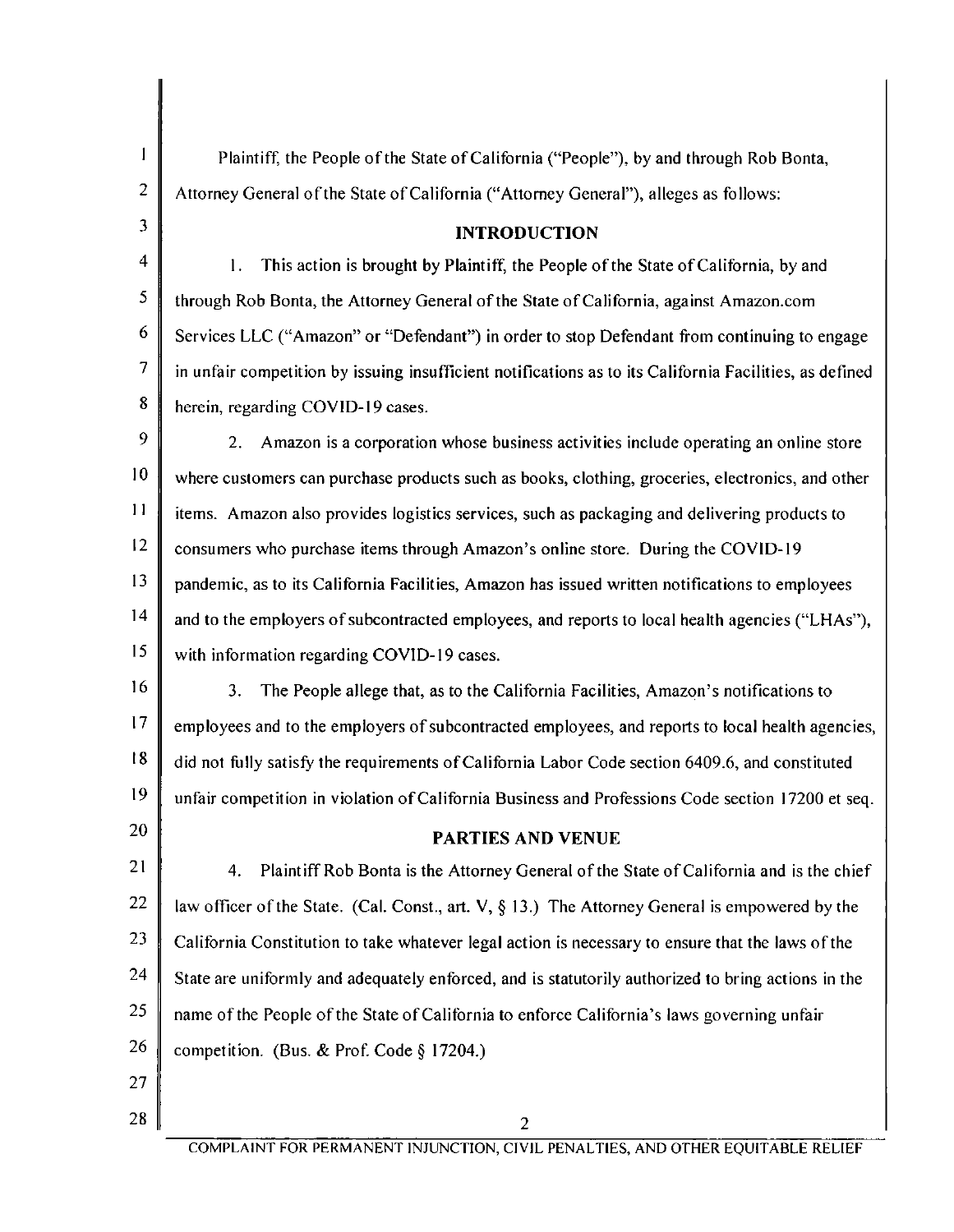**I** Plaintiff, the People of the State of California ("People"), by and through Rob Bonta, 2 Attorney General of the State of California ("Attorney General"), alleges as follows: **3** INTRODUCTION  $\frac{4}{1}$  1. This action is brought by Plaintiff, the People of the State of California, by and  $\begin{bmatrix} 5 \end{bmatrix}$  through Rob Bonta, the Attorney General of the State of California, against Amazon.com 6 Services LLC ("Amazon" or "Defendant") in order to stop Defendant from continuing to engage  $7 \parallel$  in unfair competition by issuing insufficient notifications as to its California Facilities, as defined 8 herein, regarding COVID-19 cases.  $9 \parallel$  2. Amazon is a corporation whose business activities include operating an online store  $10\parallel$  where customers can purchase products such as books, clothing, groceries, electronics, and other  $11$  items. Amazon also provides logistics services, such as packaging and delivering products to  $|^{12}$  consumers who purchase items through Amazon's online store. During the COVID-19  $13$  pandemic, as to its California Facilities, Amazon has issued written notifications to employees  $14 \parallel$  and to the employers of subcontracted employees, and reports to local health agencies ("LHAs"),  $15$  with information regarding COVID-19 cases.  $16 \parallel$  3. The People allege that, as to the California Facilities, Amazon's notifications to  $17 \parallel \text{employee}$  employees and to the employers of subcontracted employees, and reports to local health agencies,  $18$  did not fully satisfy the requirements of California Labor Code section 6409.6, and constituted **19 unfair competition in violation of California Business and Professions Code section 17200 et seq. 20 PARTIES AND VENUE** 21  $\parallel$  4. Plaintiff Rob Bonta is the Attorney General of the State of California and is the chief 22 aux officer of the State. (Cal. Const., art. V, § 13.) The Attorney General is empowered by the 23 California Constitution to take whatever legal action is necessary to ensure that the laws of the 24 State are uniformly and adequately enforced, and is statutorily authorized to bring actions in the  $25$  name of the People of the State of California to enforce California's laws governing unfair 26 competition. (Bus. & Prof. Code § 17204.) 27 28 |  $\sqrt{2}$ 

COMPLAINT FOR PERMANENT INJUNCTION, CIVIL PENALTIES, AND OTHER EQUITABLE RELIEF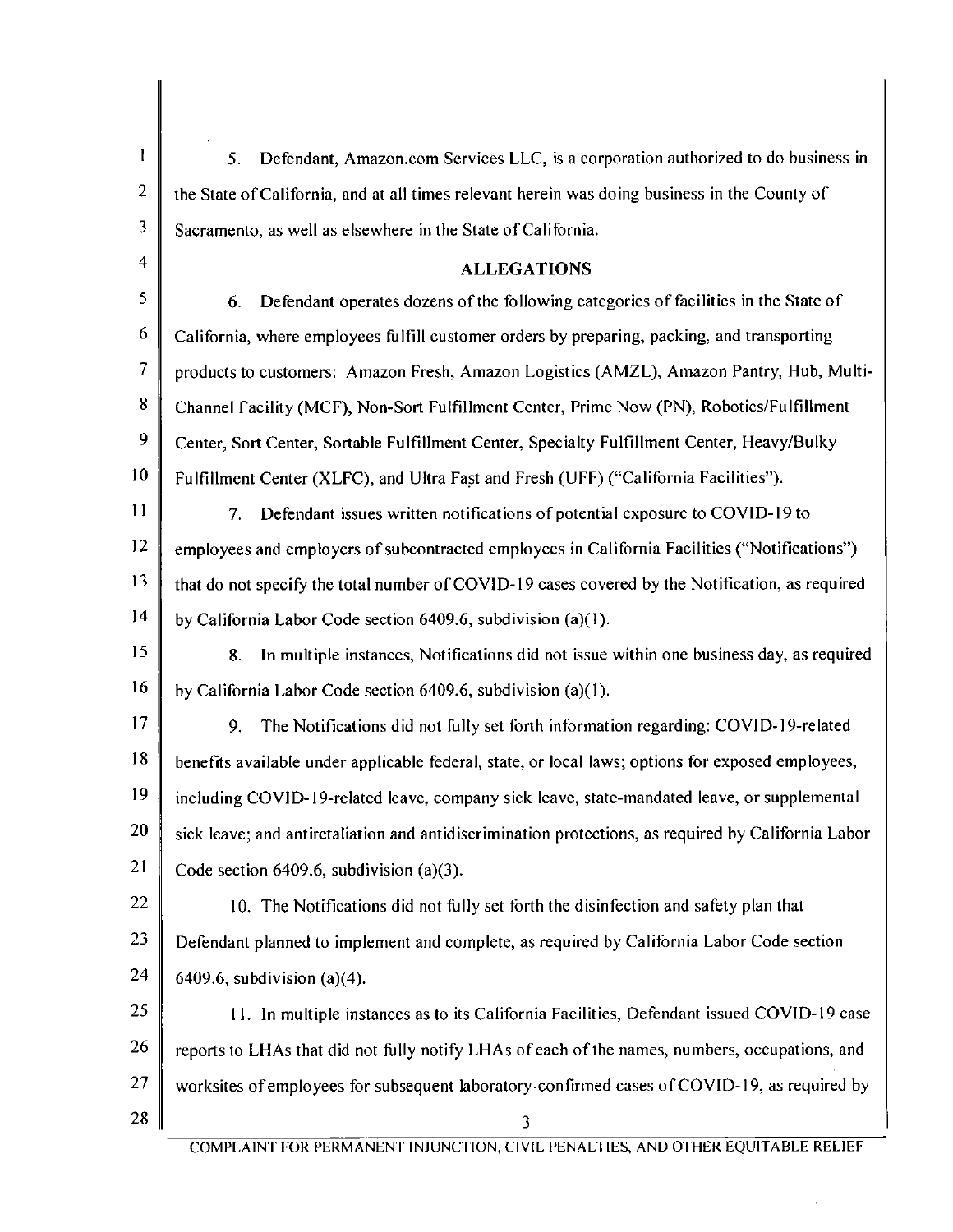**4**   $\begin{array}{c|c|c|c|c} \hline \end{array}$  5. Defendant, Amazon.com Services LLC, is a corporation authorized to do business in 2 the State of California, and at all times relevant herein was doing business in the County of  $3 \parallel$  Sacramento, as well as elsewhere in the State of California. **ALLEGATIONS**   $\begin{array}{c} 5 \end{array}$  6. Defendant operates dozens of the following categories of facilities in the State of  $6 \parallel$  California, where employees fulfill customer orders by preparing, packing, and transporting 7 products to customers: Amazon Fresh, Amazon Logistics (AMZL), Amazon Pantry, Hub, Multi-8 Channel Facility (MCF), Non-Sort Fulfillment Center, Prime Now (PN), Robotics/Fulfillment 9 Center, Sort Center, Sortable Fulfillment Center, Specialty Fulfillment Center, Heavy/Bulky 10 | Fulfillment Center (XLFC), and Ultra Fast and Fresh (UFF) ("California Facilities").  $11$   $\parallel$  7. Defendant issues written notifications of potential exposure to COVID-19 to 12 employees and employers of subcontracted employees in California Facilities ("Notifications")  $13$  that do not specify the total number of COVID-19 cases covered by the Notification, as required <sup>14</sup> by California Labor Code section 6409.6, subdivision (a)(1).  $15$   $\parallel$  8. In multiple instances, Notifications did not issue within one business day, as required  $16 \parallel$  by California Labor Code section 6409.6, subdivision (a)(1). 17 9. The Notifications did not fully set forth information regarding: COVID-19-related  $18$  benefits available under applicable federal, state, or local laws; options for exposed employees,  $19 \parallel$  including COVID-19-related leave, company sick leave, state-mandated leave, or supplemental 20 sick leave; and antiretaliation and antidiscrimination protections, as required by California Labor 21 Code section 6409.6, subdivision (a)(3).  $22$  | 10. The Notifications did not fully set forth the disinfection and safety plan that 23 Defendant planned to implement and complete, as required by California Labor Code section 24  $\parallel$  6409.6, subdivision (a)(4).  $25$  || 11. In multiple instances as to its California Facilities, Defendant issued COVID-19 case  $26 \parallel$  reports to LHAs that did not fully notify LHAs of each of the names, numbers, occupations, and  $27 \parallel$  worksites of employees for subsequent laboratory-confirmed cases of COVID-19, as required by  $28 \parallel$  3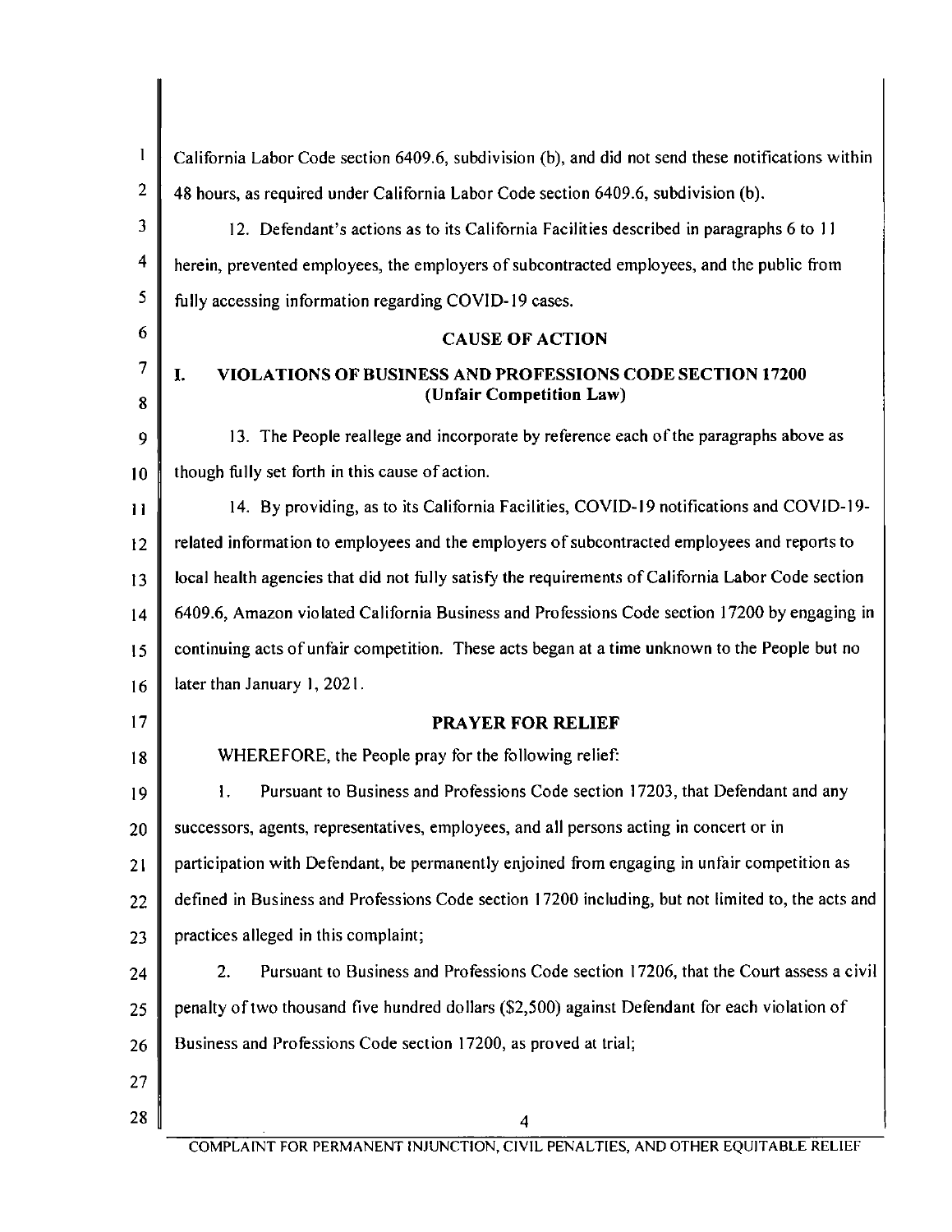| 1              | California Labor Code section 6409.6, subdivision (b), and did not send these notifications within |  |  |  |
|----------------|----------------------------------------------------------------------------------------------------|--|--|--|
| $\overline{c}$ | 48 hours, as required under California Labor Code section 6409.6, subdivision (b).                 |  |  |  |
| 3              | 12. Defendant's actions as to its California Facilities described in paragraphs 6 to 11            |  |  |  |
| 4              | herein, prevented employees, the employers of subcontracted employees, and the public from         |  |  |  |
| 5              | fully accessing information regarding COVID-19 cases.                                              |  |  |  |
| 6              | <b>CAUSE OF ACTION</b>                                                                             |  |  |  |
| 7              | <b>VIOLATIONS OF BUSINESS AND PROFESSIONS CODE SECTION 17200</b><br>I.                             |  |  |  |
| 8              | (Unfair Competition Law)                                                                           |  |  |  |
| 9              | 13. The People reallege and incorporate by reference each of the paragraphs above as               |  |  |  |
| 10             | though fully set forth in this cause of action.                                                    |  |  |  |
| $\mathbf{11}$  | 14. By providing, as to its California Facilities, COVID-19 notifications and COVID-19-            |  |  |  |
| 12             | related information to employees and the employers of subcontracted employees and reports to       |  |  |  |
| 13             | local health agencies that did not fully satisfy the requirements of California Labor Code section |  |  |  |
| 14             | 6409.6, Amazon violated California Business and Professions Code section 17200 by engaging in      |  |  |  |
| 15             | continuing acts of unfair competition. These acts began at a time unknown to the People but no     |  |  |  |
| 16             | later than January 1, 2021.                                                                        |  |  |  |
| 17             | <b>PRAYER FOR RELIEF</b>                                                                           |  |  |  |
| 18             | WHEREFORE, the People pray for the following relief:                                               |  |  |  |
| 19             | Pursuant to Business and Professions Code section 17203, that Defendant and any<br>1.              |  |  |  |
| 20             | successors, agents, representatives, employees, and all persons acting in concert or in            |  |  |  |
| 21             | participation with Defendant, be permanently enjoined from engaging in unfair competition as       |  |  |  |
| 22             | defined in Business and Professions Code section 17200 including, but not limited to, the acts and |  |  |  |
| 23             | practices alleged in this complaint;                                                               |  |  |  |
| 24             | Pursuant to Business and Professions Code section 17206, that the Court assess a civil<br>2.       |  |  |  |
| 25             | penalty of two thousand five hundred dollars (\$2,500) against Defendant for each violation of     |  |  |  |
| 26             | Business and Professions Code section 17200, as proved at trial;                                   |  |  |  |
| 27             |                                                                                                    |  |  |  |
| 28             | 4                                                                                                  |  |  |  |

║